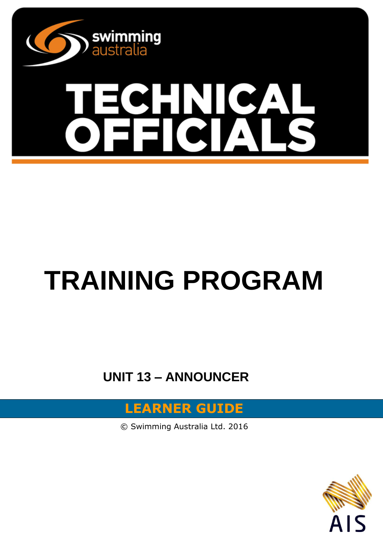

# **TRAINING PROGRAM**

**UNIT 13 – ANNOUNCER**

### **LEARNER GUIDE**

© Swimming Australia Ltd. 2016

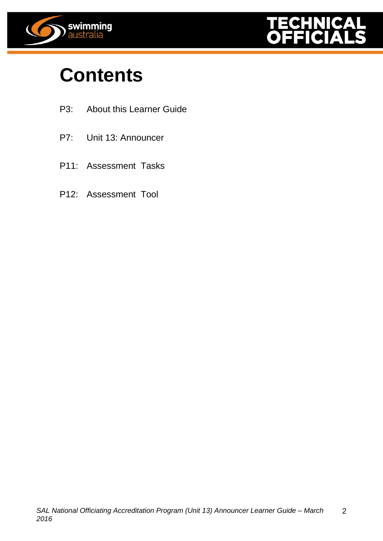



## **Contents**

- P3: About this Learner Guide
- P7: Unit 13: Announcer
- P11: Assessment Tasks
- P12: Assessment Tool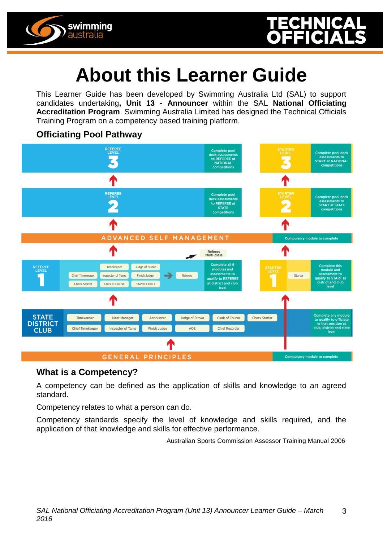

## **About this Learner Guide**

This Learner Guide has been developed by Swimming Australia Ltd (SAL) to support candidates undertaking**, Unit 13 - Announcer** within the SAL **National Officiating Accreditation Program**. Swimming Australia Limited has designed the Technical Officials Training Program on a competency based training platform.

#### **Officiating Pool Pathway**



#### **What is a Competency?**

A competency can be defined as the application of skills and knowledge to an agreed standard.

Competency relates to what a person can do.

Competency standards specify the level of knowledge and skills required, and the application of that knowledge and skills for effective performance.

Australian Sports Commission Assessor Training Manual 2006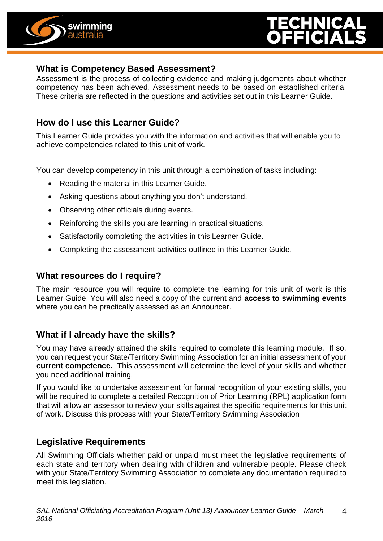



#### **What is Competency Based Assessment?**

Assessment is the process of collecting evidence and making judgements about whether competency has been achieved. Assessment needs to be based on established criteria. These criteria are reflected in the questions and activities set out in this Learner Guide.

#### **How do I use this Learner Guide?**

This Learner Guide provides you with the information and activities that will enable you to achieve competencies related to this unit of work.

You can develop competency in this unit through a combination of tasks including:

- Reading the material in this Learner Guide.
- Asking questions about anything you don't understand.
- Observing other officials during events.
- Reinforcing the skills you are learning in practical situations.
- Satisfactorily completing the activities in this Learner Guide.
- Completing the assessment activities outlined in this Learner Guide.

#### **What resources do I require?**

The main resource you will require to complete the learning for this unit of work is this Learner Guide. You will also need a copy of the current and **access to swimming events** where you can be practically assessed as an Announcer.

#### **What if I already have the skills?**

You may have already attained the skills required to complete this learning module. If so, you can request your State/Territory Swimming Association for an initial assessment of your **current competence.** This assessment will determine the level of your skills and whether you need additional training.

If you would like to undertake assessment for formal recognition of your existing skills, you will be required to complete a detailed Recognition of Prior Learning (RPL) application form that will allow an assessor to review your skills against the specific requirements for this unit of work. Discuss this process with your State/Territory Swimming Association

#### **Legislative Requirements**

All Swimming Officials whether paid or unpaid must meet the legislative requirements of each state and territory when dealing with children and vulnerable people. Please check with your State/Territory Swimming Association to complete any documentation required to meet this legislation.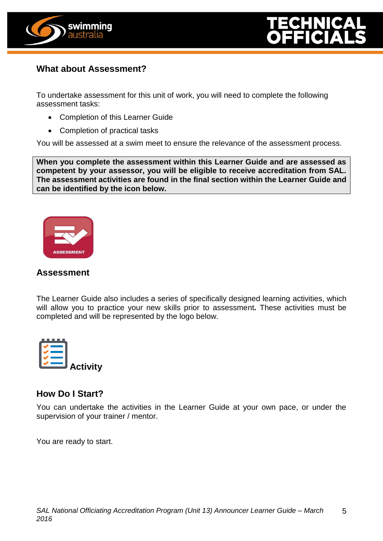



#### **What about Assessment?**

To undertake assessment for this unit of work, you will need to complete the following assessment tasks:

- Completion of this Learner Guide
- Completion of practical tasks

You will be assessed at a swim meet to ensure the relevance of the assessment process.

**When you complete the assessment within this Learner Guide and are assessed as competent by your assessor, you will be eligible to receive accreditation from SAL. The assessment activities are found in the final section within the Learner Guide and can be identified by the icon below.**



#### **Assessment**

The Learner Guide also includes a series of specifically designed learning activities, which will allow you to practice your new skills prior to assessment*.* These activities must be completed and will be represented by the logo below.



#### **How Do I Start?**

You can undertake the activities in the Learner Guide at your own pace, or under the supervision of your trainer / mentor.

You are ready to start.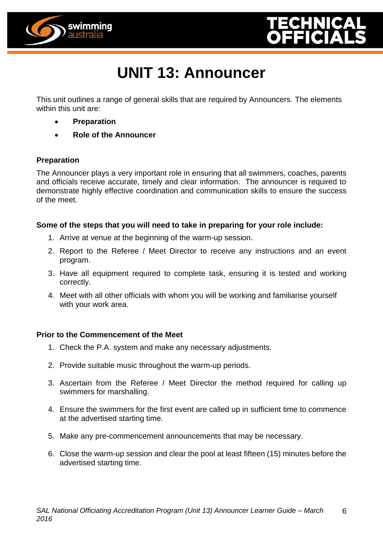



## **UNIT 13: Announcer**

This unit outlines a range of general skills that are required by Announcers. The elements within this unit are:

- **Preparation**
- **Role of the Announcer**

#### **Preparation**

The Announcer plays a very important role in ensuring that all swimmers, coaches, parents and officials receive accurate, timely and clear information. The announcer is required to demonstrate highly effective coordination and communication skills to ensure the success of the meet.

#### **Some of the steps that you will need to take in preparing for your role include:**

- 1. Arrive at venue at the beginning of the warm-up session.
- 2. Report to the Referee / Meet Director to receive any instructions and an event program.
- 3. Have all equipment required to complete task, ensuring it is tested and working correctly.
- 4. Meet with all other officials with whom you will be working and familiarise yourself with your work area.

#### **Prior to the Commencement of the Meet**

- 1. Check the P.A. system and make any necessary adjustments.
- 2. Provide suitable music throughout the warm-up periods.
- 3. Ascertain from the Referee / Meet Director the method required for calling up swimmers for marshalling.
- 4. Ensure the swimmers for the first event are called up in sufficient time to commence at the advertised starting time.
- 5. Make any pre-commencement announcements that may be necessary.
- 6. Close the warm-up session and clear the pool at least fifteen (15) minutes before the advertised starting time.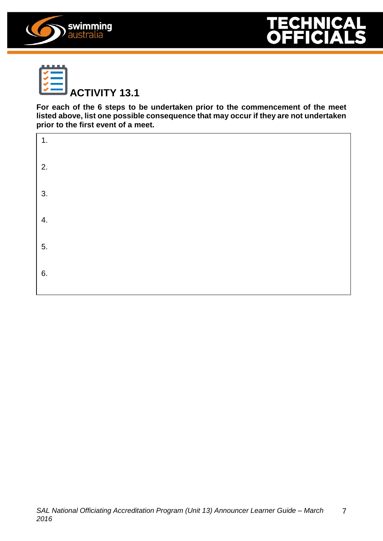





**For each of the 6 steps to be undertaken prior to the commencement of the meet listed above, list one possible consequence that may occur if they are not undertaken prior to the first event of a meet.**

| $\overline{1}$ . |  |  |  |
|------------------|--|--|--|
| 2.               |  |  |  |
| 3.               |  |  |  |
| 4.               |  |  |  |
| 5.               |  |  |  |
| 6.               |  |  |  |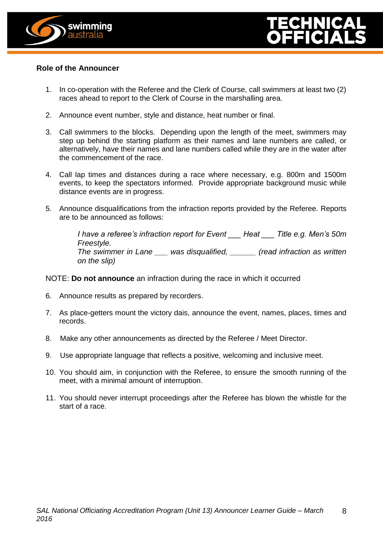



#### **Role of the Announcer**

- 1. In co-operation with the Referee and the Clerk of Course, call swimmers at least two (2) races ahead to report to the Clerk of Course in the marshalling area.
- 2. Announce event number, style and distance, heat number or final.
- 3. Call swimmers to the blocks. Depending upon the length of the meet, swimmers may step up behind the starting platform as their names and lane numbers are called, or alternatively, have their names and lane numbers called while they are in the water after the commencement of the race.
- 4. Call lap times and distances during a race where necessary, e.g. 800m and 1500m events, to keep the spectators informed. Provide appropriate background music while distance events are in progress.
- 5. Announce disqualifications from the infraction reports provided by the Referee. Reports are to be announced as follows:

*I have a referee's infraction report for Event \_\_\_ Heat \_\_\_ Title e.g. Men's 50m Freestyle. The swimmer in Lane \_\_\_ was disqualified, \_\_\_\_\_\_ (read infraction as written on the slip)*

NOTE: **Do not announce** an infraction during the race in which it occurred

- 6. Announce results as prepared by recorders.
- 7. As place-getters mount the victory dais, announce the event, names, places, times and records.
- 8. Make any other announcements as directed by the Referee / Meet Director.
- 9. Use appropriate language that reflects a positive, welcoming and inclusive meet.
- 10. You should aim, in conjunction with the Referee, to ensure the smooth running of the meet, with a minimal amount of interruption.
- 11. You should never interrupt proceedings after the Referee has blown the whistle for the start of a race.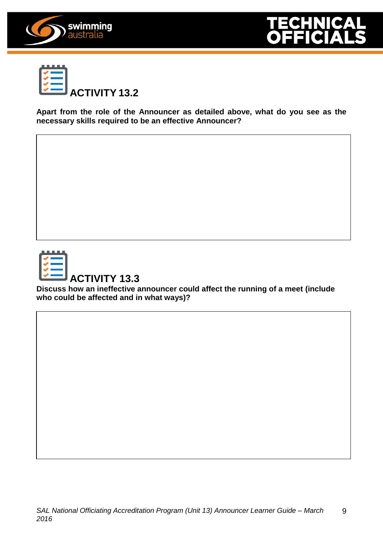





**Apart from the role of the Announcer as detailed above, what do you see as the necessary skills required to be an effective Announcer?**



**ACTIVITY 13.3**

**Discuss how an ineffective announcer could affect the running of a meet (include who could be affected and in what ways)?**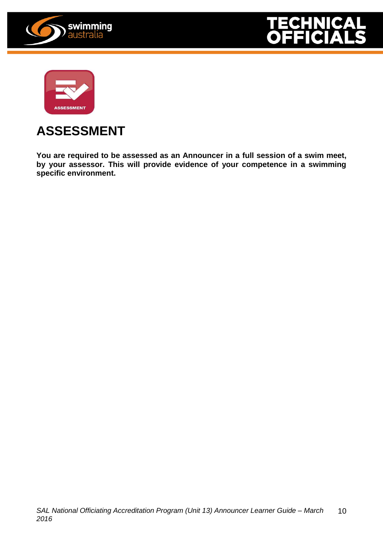





### **ASSESSMENT**

**You are required to be assessed as an Announcer in a full session of a swim meet, by your assessor. This will provide evidence of your competence in a swimming specific environment.**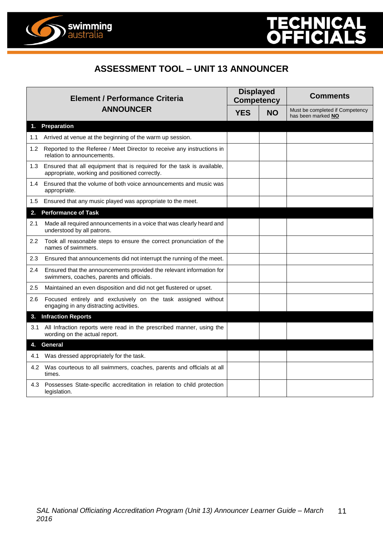

#### **ASSESSMENT TOOL – UNIT 13 ANNOUNCER**

| <b>Element / Performance Criteria</b><br><b>ANNOUNCER</b> |                                                                                                                              | <b>Displayed</b><br><b>Competency</b> |           | <b>Comments</b>                                       |  |
|-----------------------------------------------------------|------------------------------------------------------------------------------------------------------------------------------|---------------------------------------|-----------|-------------------------------------------------------|--|
|                                                           |                                                                                                                              | <b>YES</b>                            | <b>NO</b> | Must be completed if Competency<br>has been marked NO |  |
| 1.                                                        | <b>Preparation</b>                                                                                                           |                                       |           |                                                       |  |
| 1.1                                                       | Arrived at venue at the beginning of the warm up session.                                                                    |                                       |           |                                                       |  |
| 1.2                                                       | Reported to the Referee / Meet Director to receive any instructions in<br>relation to announcements.                         |                                       |           |                                                       |  |
|                                                           | 1.3 Ensured that all equipment that is required for the task is available,<br>appropriate, working and positioned correctly. |                                       |           |                                                       |  |
| 1.4                                                       | Ensured that the volume of both voice announcements and music was<br>appropriate.                                            |                                       |           |                                                       |  |
| 1.5                                                       | Ensured that any music played was appropriate to the meet.                                                                   |                                       |           |                                                       |  |
| 2.                                                        | <b>Performance of Task</b>                                                                                                   |                                       |           |                                                       |  |
| 2.1                                                       | Made all required announcements in a voice that was clearly heard and<br>understood by all patrons.                          |                                       |           |                                                       |  |
| 2.2                                                       | Took all reasonable steps to ensure the correct pronunciation of the<br>names of swimmers.                                   |                                       |           |                                                       |  |
| 2.3                                                       | Ensured that announcements did not interrupt the running of the meet.                                                        |                                       |           |                                                       |  |
| $2.4\,$                                                   | Ensured that the announcements provided the relevant information for<br>swimmers, coaches, parents and officials.            |                                       |           |                                                       |  |
| 2.5                                                       | Maintained an even disposition and did not get flustered or upset.                                                           |                                       |           |                                                       |  |
| 2.6                                                       | Focused entirely and exclusively on the task assigned without<br>engaging in any distracting activities.                     |                                       |           |                                                       |  |
|                                                           | 3. Infraction Reports                                                                                                        |                                       |           |                                                       |  |
| 3.1                                                       | All Infraction reports were read in the prescribed manner, using the<br>wording on the actual report.                        |                                       |           |                                                       |  |
|                                                           | <b>General</b>                                                                                                               |                                       |           |                                                       |  |
| 4.1                                                       | Was dressed appropriately for the task.                                                                                      |                                       |           |                                                       |  |
| 4.2                                                       | Was courteous to all swimmers, coaches, parents and officials at all<br>times.                                               |                                       |           |                                                       |  |
| 4.3                                                       | Possesses State-specific accreditation in relation to child protection<br>legislation.                                       |                                       |           |                                                       |  |